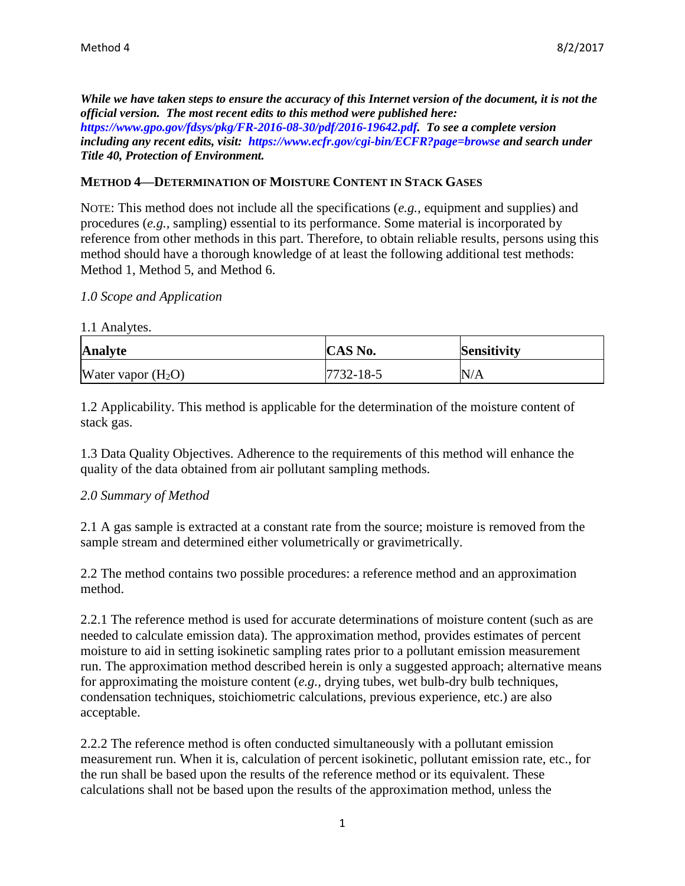*While we have taken steps to ensure the accuracy of this Internet version of the document, it is not the official version. The most recent edits to this method were published here: [https://www.gpo.gov/fdsys/pkg/FR-2016-08-30/pdf/2016-19642.pdf.](https://www.gpo.gov/fdsys/pkg/FR-2016-08-30/pdf/2016-19642.pdf) To see a complete version including any recent edits, visit: <https://www.ecfr.gov/cgi-bin/ECFR?page=browse> and search under Title 40, Protection of Environment.*

### **METHOD 4—DETERMINATION OF MOISTURE CONTENT IN STACK GASES**

NOTE: This method does not include all the specifications (*e.g.,* equipment and supplies) and procedures (*e.g.,* sampling) essential to its performance. Some material is incorporated by reference from other methods in this part. Therefore, to obtain reliable results, persons using this method should have a thorough knowledge of at least the following additional test methods: Method 1, Method 5, and Method 6.

#### *1.0 Scope and Application*

1.1 Analytes.

| <b>Analyte</b>       | CAS No.         | <b>Sensitivity</b> |
|----------------------|-----------------|--------------------|
| Water vapor $(H_2O)$ | $7732 - 18 - 5$ | N/A                |

1.2 Applicability. This method is applicable for the determination of the moisture content of stack gas.

1.3 Data Quality Objectives. Adherence to the requirements of this method will enhance the quality of the data obtained from air pollutant sampling methods.

#### *2.0 Summary of Method*

2.1 A gas sample is extracted at a constant rate from the source; moisture is removed from the sample stream and determined either volumetrically or gravimetrically.

2.2 The method contains two possible procedures: a reference method and an approximation method.

2.2.1 The reference method is used for accurate determinations of moisture content (such as are needed to calculate emission data). The approximation method, provides estimates of percent moisture to aid in setting isokinetic sampling rates prior to a pollutant emission measurement run. The approximation method described herein is only a suggested approach; alternative means for approximating the moisture content (*e.g.,* drying tubes, wet bulb-dry bulb techniques, condensation techniques, stoichiometric calculations, previous experience, etc.) are also acceptable.

2.2.2 The reference method is often conducted simultaneously with a pollutant emission measurement run. When it is, calculation of percent isokinetic, pollutant emission rate, etc., for the run shall be based upon the results of the reference method or its equivalent. These calculations shall not be based upon the results of the approximation method, unless the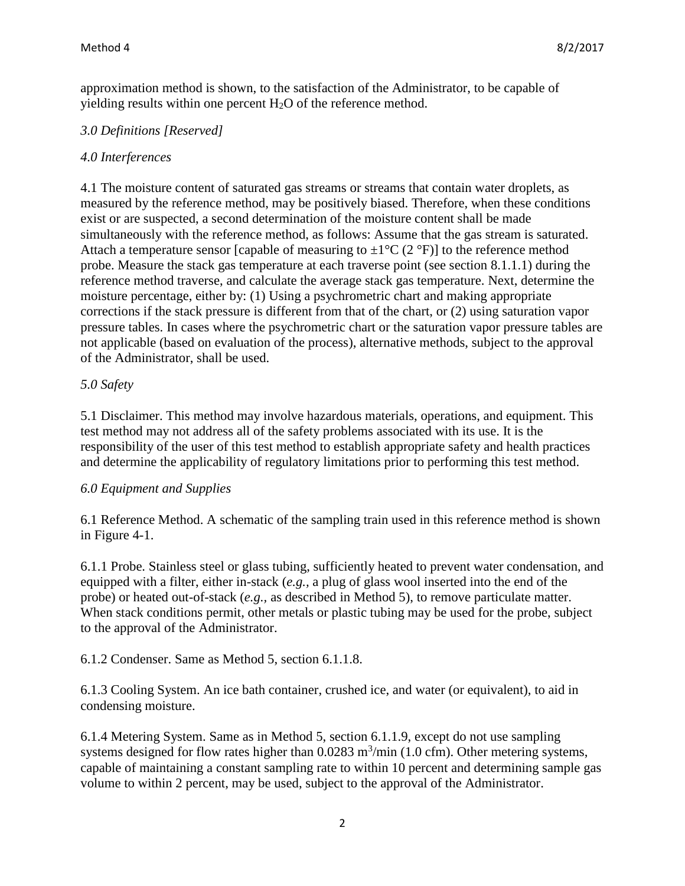approximation method is shown, to the satisfaction of the Administrator, to be capable of yielding results within one percent H2O of the reference method.

## *3.0 Definitions [Reserved]*

## *4.0 Interferences*

4.1 The moisture content of saturated gas streams or streams that contain water droplets, as measured by the reference method, may be positively biased. Therefore, when these conditions exist or are suspected, a second determination of the moisture content shall be made simultaneously with the reference method, as follows: Assume that the gas stream is saturated. Attach a temperature sensor [capable of measuring to  $\pm 1^{\circ}C$  (2  $^{\circ}F$ )] to the reference method probe. Measure the stack gas temperature at each traverse point (see section 8.1.1.1) during the reference method traverse, and calculate the average stack gas temperature. Next, determine the moisture percentage, either by: (1) Using a psychrometric chart and making appropriate corrections if the stack pressure is different from that of the chart, or (2) using saturation vapor pressure tables. In cases where the psychrometric chart or the saturation vapor pressure tables are not applicable (based on evaluation of the process), alternative methods, subject to the approval of the Administrator, shall be used.

# *5.0 Safety*

5.1 Disclaimer. This method may involve hazardous materials, operations, and equipment. This test method may not address all of the safety problems associated with its use. It is the responsibility of the user of this test method to establish appropriate safety and health practices and determine the applicability of regulatory limitations prior to performing this test method.

#### *6.0 Equipment and Supplies*

6.1 Reference Method. A schematic of the sampling train used in this reference method is shown in Figure 4-1.

6.1.1 Probe. Stainless steel or glass tubing, sufficiently heated to prevent water condensation, and equipped with a filter, either in-stack (*e.g.,* a plug of glass wool inserted into the end of the probe) or heated out-of-stack (*e.g.,* as described in Method 5), to remove particulate matter. When stack conditions permit, other metals or plastic tubing may be used for the probe, subject to the approval of the Administrator.

6.1.2 Condenser. Same as Method 5, section 6.1.1.8.

6.1.3 Cooling System. An ice bath container, crushed ice, and water (or equivalent), to aid in condensing moisture.

6.1.4 Metering System. Same as in Method 5, section 6.1.1.9, except do not use sampling systems designed for flow rates higher than  $0.0283 \text{ m}^3/\text{min}$  (1.0 cfm). Other metering systems, capable of maintaining a constant sampling rate to within 10 percent and determining sample gas volume to within 2 percent, may be used, subject to the approval of the Administrator.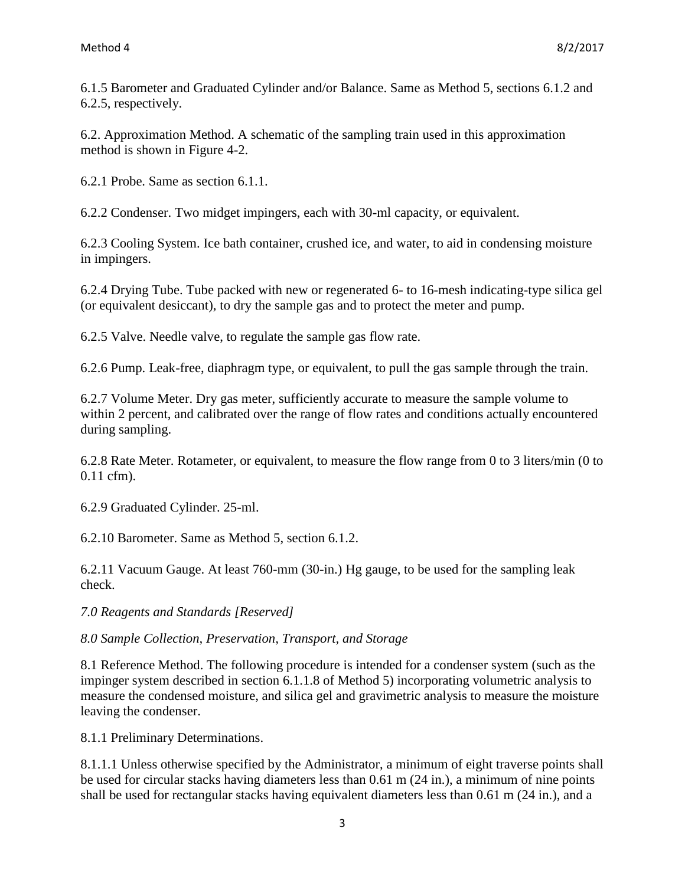6.1.5 Barometer and Graduated Cylinder and/or Balance. Same as Method 5, sections 6.1.2 and 6.2.5, respectively.

6.2. Approximation Method. A schematic of the sampling train used in this approximation method is shown in Figure 4-2.

6.2.1 Probe. Same as section 6.1.1.

6.2.2 Condenser. Two midget impingers, each with 30-ml capacity, or equivalent.

6.2.3 Cooling System. Ice bath container, crushed ice, and water, to aid in condensing moisture in impingers.

6.2.4 Drying Tube. Tube packed with new or regenerated 6- to 16-mesh indicating-type silica gel (or equivalent desiccant), to dry the sample gas and to protect the meter and pump.

6.2.5 Valve. Needle valve, to regulate the sample gas flow rate.

6.2.6 Pump. Leak-free, diaphragm type, or equivalent, to pull the gas sample through the train.

6.2.7 Volume Meter. Dry gas meter, sufficiently accurate to measure the sample volume to within 2 percent, and calibrated over the range of flow rates and conditions actually encountered during sampling.

6.2.8 Rate Meter. Rotameter, or equivalent, to measure the flow range from 0 to 3 liters/min (0 to 0.11 cfm).

6.2.9 Graduated Cylinder. 25-ml.

6.2.10 Barometer. Same as Method 5, section 6.1.2.

6.2.11 Vacuum Gauge. At least 760-mm (30-in.) Hg gauge, to be used for the sampling leak check.

*7.0 Reagents and Standards [Reserved]* 

*8.0 Sample Collection, Preservation, Transport, and Storage* 

8.1 Reference Method. The following procedure is intended for a condenser system (such as the impinger system described in section 6.1.1.8 of Method 5) incorporating volumetric analysis to measure the condensed moisture, and silica gel and gravimetric analysis to measure the moisture leaving the condenser.

8.1.1 Preliminary Determinations.

8.1.1.1 Unless otherwise specified by the Administrator, a minimum of eight traverse points shall be used for circular stacks having diameters less than 0.61 m (24 in.), a minimum of nine points shall be used for rectangular stacks having equivalent diameters less than 0.61 m (24 in.), and a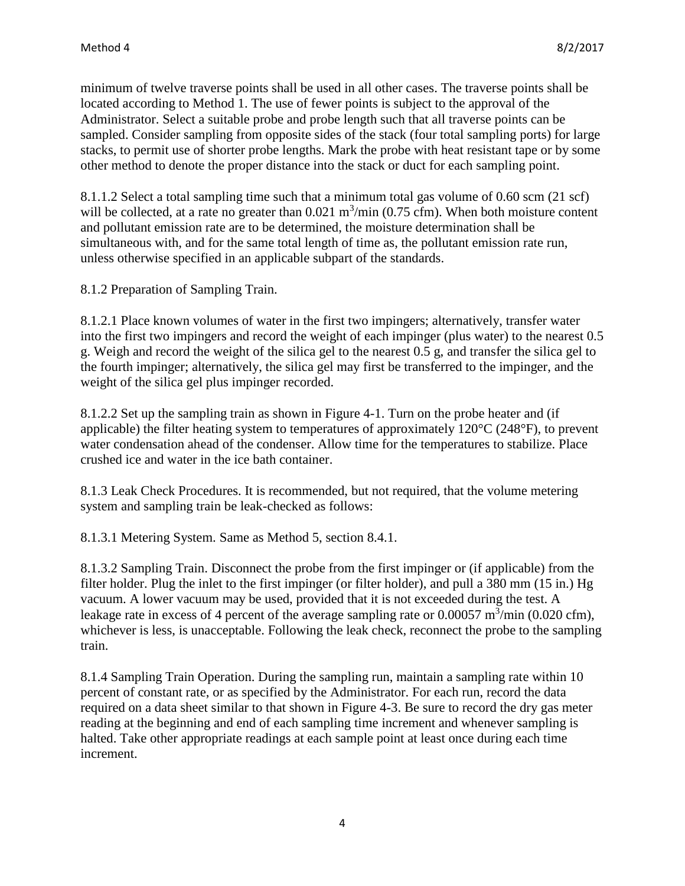minimum of twelve traverse points shall be used in all other cases. The traverse points shall be located according to Method 1. The use of fewer points is subject to the approval of the Administrator. Select a suitable probe and probe length such that all traverse points can be sampled. Consider sampling from opposite sides of the stack (four total sampling ports) for large stacks, to permit use of shorter probe lengths. Mark the probe with heat resistant tape or by some other method to denote the proper distance into the stack or duct for each sampling point.

8.1.1.2 Select a total sampling time such that a minimum total gas volume of 0.60 scm (21 scf) will be collected, at a rate no greater than  $0.021 \text{ m}^3/\text{min}$  (0.75 cfm). When both moisture content and pollutant emission rate are to be determined, the moisture determination shall be simultaneous with, and for the same total length of time as, the pollutant emission rate run, unless otherwise specified in an applicable subpart of the standards.

8.1.2 Preparation of Sampling Train.

8.1.2.1 Place known volumes of water in the first two impingers; alternatively, transfer water into the first two impingers and record the weight of each impinger (plus water) to the nearest 0.5 g. Weigh and record the weight of the silica gel to the nearest 0.5 g, and transfer the silica gel to the fourth impinger; alternatively, the silica gel may first be transferred to the impinger, and the weight of the silica gel plus impinger recorded.

8.1.2.2 Set up the sampling train as shown in Figure 4-1. Turn on the probe heater and (if applicable) the filter heating system to temperatures of approximately 120°C (248°F), to prevent water condensation ahead of the condenser. Allow time for the temperatures to stabilize. Place crushed ice and water in the ice bath container.

8.1.3 Leak Check Procedures. It is recommended, but not required, that the volume metering system and sampling train be leak-checked as follows:

8.1.3.1 Metering System. Same as Method 5, section 8.4.1.

8.1.3.2 Sampling Train. Disconnect the probe from the first impinger or (if applicable) from the filter holder. Plug the inlet to the first impinger (or filter holder), and pull a 380 mm (15 in.) Hg vacuum. A lower vacuum may be used, provided that it is not exceeded during the test. A leakage rate in excess of 4 percent of the average sampling rate or  $0.00057 \text{ m}^3/\text{min}$  (0.020 cfm), whichever is less, is unacceptable. Following the leak check, reconnect the probe to the sampling train.

8.1.4 Sampling Train Operation. During the sampling run, maintain a sampling rate within 10 percent of constant rate, or as specified by the Administrator. For each run, record the data required on a data sheet similar to that shown in Figure 4-3. Be sure to record the dry gas meter reading at the beginning and end of each sampling time increment and whenever sampling is halted. Take other appropriate readings at each sample point at least once during each time increment.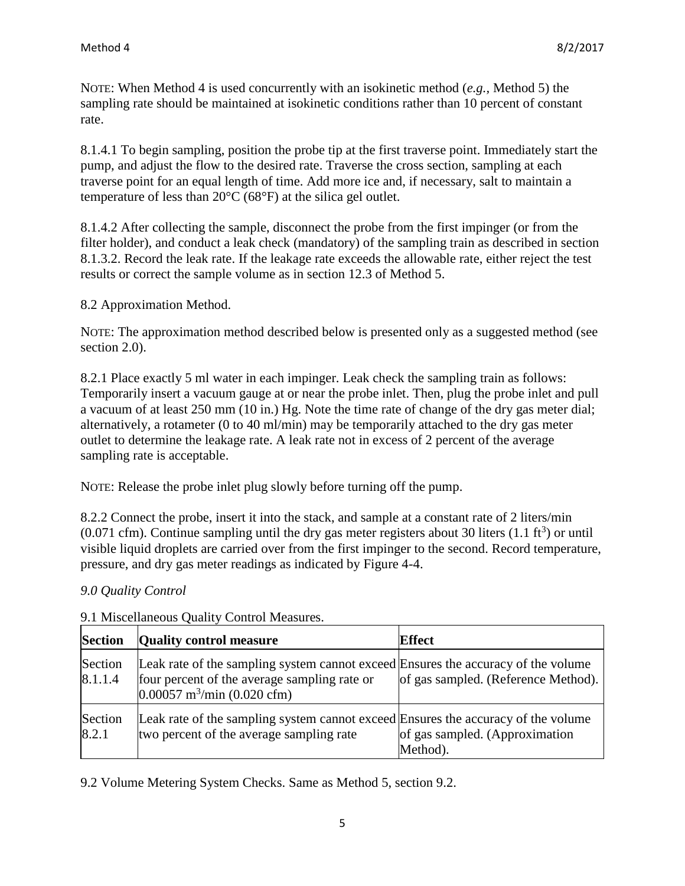NOTE: When Method 4 is used concurrently with an isokinetic method (*e.g.,* Method 5) the sampling rate should be maintained at isokinetic conditions rather than 10 percent of constant rate.

8.1.4.1 To begin sampling, position the probe tip at the first traverse point. Immediately start the pump, and adjust the flow to the desired rate. Traverse the cross section, sampling at each traverse point for an equal length of time. Add more ice and, if necessary, salt to maintain a temperature of less than 20°C (68°F) at the silica gel outlet.

8.1.4.2 After collecting the sample, disconnect the probe from the first impinger (or from the filter holder), and conduct a leak check (mandatory) of the sampling train as described in section 8.1.3.2. Record the leak rate. If the leakage rate exceeds the allowable rate, either reject the test results or correct the sample volume as in section 12.3 of Method 5.

# 8.2 Approximation Method.

NOTE: The approximation method described below is presented only as a suggested method (see section 2.0).

8.2.1 Place exactly 5 ml water in each impinger. Leak check the sampling train as follows: Temporarily insert a vacuum gauge at or near the probe inlet. Then, plug the probe inlet and pull a vacuum of at least 250 mm (10 in.) Hg. Note the time rate of change of the dry gas meter dial; alternatively, a rotameter (0 to 40 ml/min) may be temporarily attached to the dry gas meter outlet to determine the leakage rate. A leak rate not in excess of 2 percent of the average sampling rate is acceptable.

NOTE: Release the probe inlet plug slowly before turning off the pump.

8.2.2 Connect the probe, insert it into the stack, and sample at a constant rate of 2 liters/min  $(0.071 \text{ cfm})$ . Continue sampling until the dry gas meter registers about 30 liters  $(1.1 \text{ ft}^3)$  or until visible liquid droplets are carried over from the first impinger to the second. Record temperature, pressure, and dry gas meter readings as indicated by Figure 4-4.

# *9.0 Quality Control*

| <b>Section</b>     | <b>Quality control measure</b>                                                                                                                                                 | <b>Effect</b>                              |
|--------------------|--------------------------------------------------------------------------------------------------------------------------------------------------------------------------------|--------------------------------------------|
| Section<br>8.1.1.4 | Leak rate of the sampling system cannot exceed Ensures the accuracy of the volume<br>four percent of the average sampling rate or<br>$0.00057$ m <sup>3</sup> /min (0.020 cfm) | of gas sampled. (Reference Method).        |
| Section<br>8.2.1   | Leak rate of the sampling system cannot exceed Ensures the accuracy of the volume<br>two percent of the average sampling rate                                                  | of gas sampled. (Approximation<br>Method). |

# 9.1 Miscellaneous Quality Control Measures.

9.2 Volume Metering System Checks. Same as Method 5, section 9.2.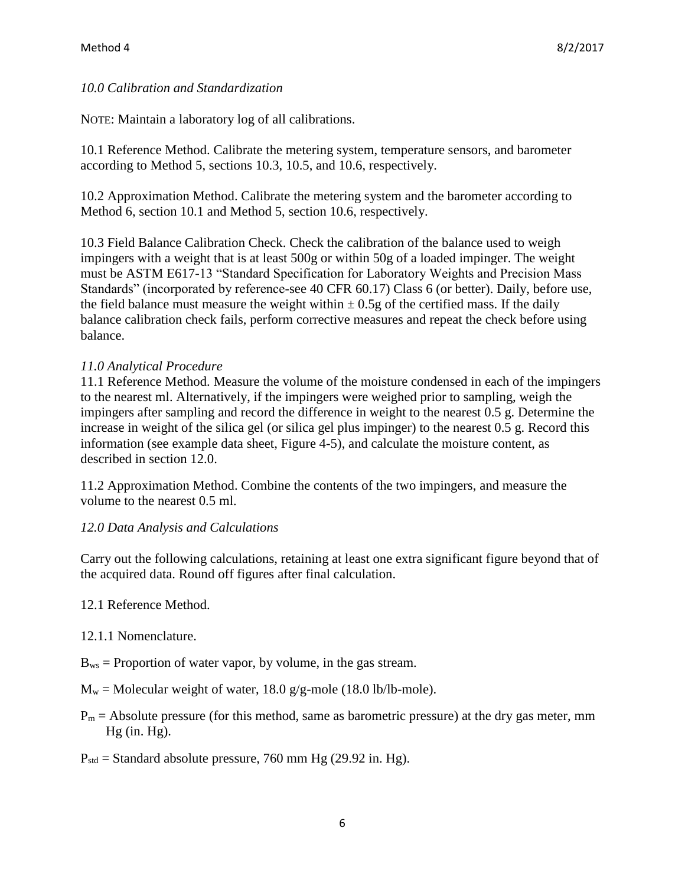#### *10.0 Calibration and Standardization*

NOTE: Maintain a laboratory log of all calibrations.

10.1 Reference Method. Calibrate the metering system, temperature sensors, and barometer according to Method 5, sections 10.3, 10.5, and 10.6, respectively.

10.2 Approximation Method. Calibrate the metering system and the barometer according to Method 6, section 10.1 and Method 5, section 10.6, respectively.

10.3 Field Balance Calibration Check. Check the calibration of the balance used to weigh impingers with a weight that is at least 500g or within 50g of a loaded impinger. The weight must be ASTM E617-13 "Standard Specification for Laboratory Weights and Precision Mass Standards" (incorporated by reference-see 40 CFR 60.17) Class 6 (or better). Daily, before use, the field balance must measure the weight within  $\pm$  0.5g of the certified mass. If the daily balance calibration check fails, perform corrective measures and repeat the check before using balance.

#### *11.0 Analytical Procedure*

11.1 Reference Method. Measure the volume of the moisture condensed in each of the impingers to the nearest ml. Alternatively, if the impingers were weighed prior to sampling, weigh the impingers after sampling and record the difference in weight to the nearest 0.5 g. Determine the increase in weight of the silica gel (or silica gel plus impinger) to the nearest 0.5 g. Record this information (see example data sheet, Figure 4-5), and calculate the moisture content, as described in section 12.0.

11.2 Approximation Method. Combine the contents of the two impingers, and measure the volume to the nearest 0.5 ml.

#### *12.0 Data Analysis and Calculations*

Carry out the following calculations, retaining at least one extra significant figure beyond that of the acquired data. Round off figures after final calculation.

#### 12.1 Reference Method.

#### 12.1.1 Nomenclature.

- $B_{ws}$  = Proportion of water vapor, by volume, in the gas stream.
- $M_w$  = Molecular weight of water, 18.0 g/g-mole (18.0 lb/lb-mole).
- $P_m$  = Absolute pressure (for this method, same as barometric pressure) at the dry gas meter, mm Hg (in. Hg).
- $P_{std}$  = Standard absolute pressure, 760 mm Hg (29.92 in. Hg).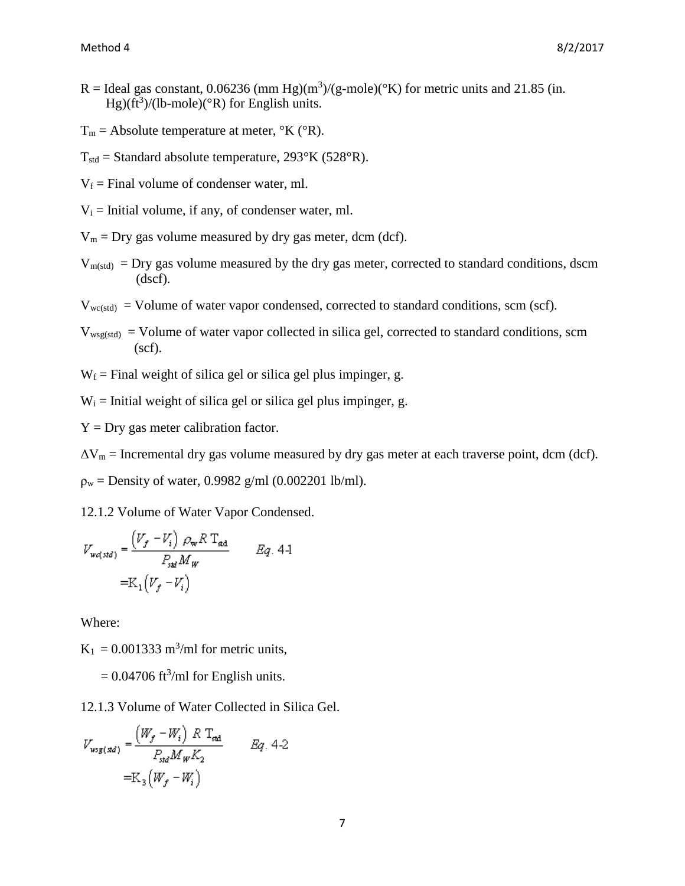- R = Ideal gas constant, 0.06236 (mm Hg)(m<sup>3</sup>)/(g-mole)(°K) for metric units and 21.85 (in.  $Hg$ )(ft<sup>3</sup>)/(lb-mole)(°R) for English units.
- $T_m$  = Absolute temperature at meter,  $\mathrm{K}$  ( $\mathrm{R}$ ).
- $T_{std}$  = Standard absolute temperature, 293°K (528°R).
- $V_f$  = Final volume of condenser water, ml.
- $V_i$  = Initial volume, if any, of condenser water, ml.
- $V_m$  = Dry gas volume measured by dry gas meter, dcm (dcf).
- $V_{m(std)} = Dry$  gas volume measured by the dry gas meter, corrected to standard conditions, dscm (dscf).
- $V_{wc(stat)}$  = Volume of water vapor condensed, corrected to standard conditions, scm (scf).
- $V_{wsg(std)}$  = Volume of water vapor collected in silica gel, corrected to standard conditions, scm  $(scf).$
- $W_f$  = Final weight of silica gel or silica gel plus impinger, g.

 $W_i$  = Initial weight of silica gel or silica gel plus impinger, g.

 $Y = Dry$  gas meter calibration factor.

 $\Delta V_m$  = Incremental dry gas volume measured by dry gas meter at each traverse point, dcm (dcf).

 $p_w$  = Density of water, 0.9982 g/ml (0.002201 lb/ml).

12.1.2 Volume of Water Vapor Condensed.

$$
V_{\text{wd},std} = \frac{\left(V_f - V_i\right) \rho_{\text{w}} R T_{\text{sd}}}{P_{\text{sd}} M_{\text{w}}}
$$
 Eq. 4-1  
=K<sub>1</sub> $\left(V_f - V_i\right)$ 

Where:

 $K_1 = 0.001333$  m<sup>3</sup>/ml for metric units,

 $= 0.04706$  ft<sup>3</sup>/ml for English units.

12.1.3 Volume of Water Collected in Silica Gel.

$$
V_{wsg(xd)} = \frac{(W_f - W_i) \ R \ T_{sd}}{P_{std} M_W K_2}
$$
 Eq. 4-2  
=K<sub>3</sub>(W<sub>f</sub> - W<sub>i</sub>)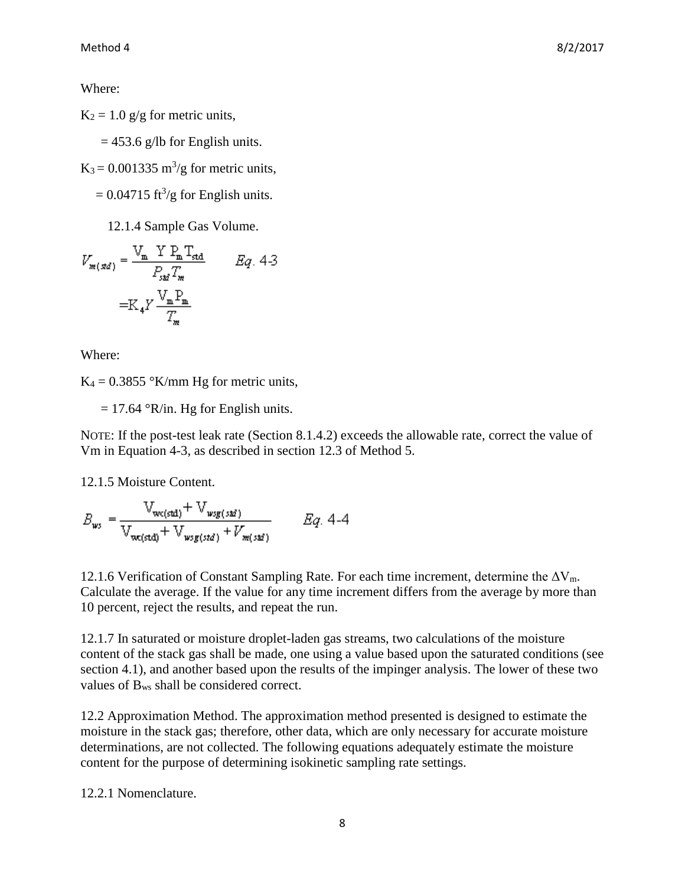Where:

 $K_2 = 1.0$  g/g for metric units,

 $= 453.6$  g/lb for English units.

 $K_3 = 0.001335 \text{ m}^3\text{/g}$  for metric units,

 $= 0.04715 \text{ ft}^3\text{/g}$  for English units.

12.1.4 Sample Gas Volume.

$$
V_{m(xd)} = \frac{V_m Y P_m T_{std}}{P_{sd} T_m}
$$
  
=K<sub>4</sub>Y  $\frac{V_m P_m}{T_m}$ 

Where:

 $K_4 = 0.3855$  °K/mm Hg for metric units,

 $= 17.64$  °R/in. Hg for English units.

NOTE: If the post-test leak rate (Section 8.1.4.2) exceeds the allowable rate, correct the value of Vm in Equation 4-3, as described in section 12.3 of Method 5.

12.1.5 Moisture Content.

$$
B_{ws} = \frac{V_{wc(std)} + V_{wsg(std)}}{V_{wc(std)} + V_{wsg(std)} + V_{m(std)}} \qquad Eq. 4-4
$$

12.1.6 Verification of Constant Sampling Rate. For each time increment, determine the  $\Delta V_m$ . Calculate the average. If the value for any time increment differs from the average by more than 10 percent, reject the results, and repeat the run.

12.1.7 In saturated or moisture droplet-laden gas streams, two calculations of the moisture content of the stack gas shall be made, one using a value based upon the saturated conditions (see section 4.1), and another based upon the results of the impinger analysis. The lower of these two values of Bws shall be considered correct.

12.2 Approximation Method. The approximation method presented is designed to estimate the moisture in the stack gas; therefore, other data, which are only necessary for accurate moisture determinations, are not collected. The following equations adequately estimate the moisture content for the purpose of determining isokinetic sampling rate settings.

12.2.1 Nomenclature.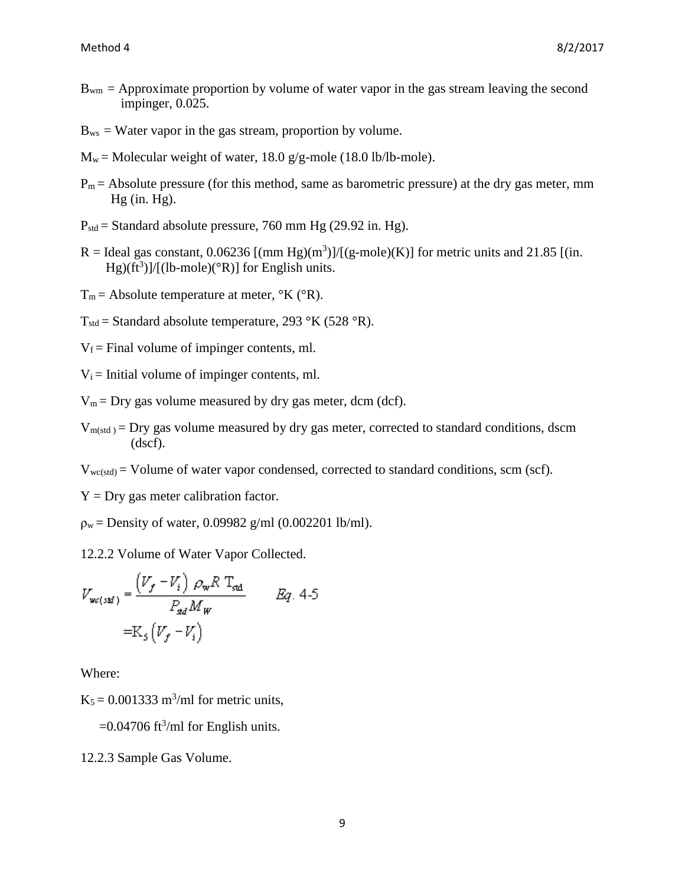- $B_{wm} =$  Approximate proportion by volume of water vapor in the gas stream leaving the second impinger, 0.025.
- $B_{ws}$  = Water vapor in the gas stream, proportion by volume.
- $M_w$  = Molecular weight of water, 18.0 g/g-mole (18.0 lb/lb-mole).
- $P_m$  = Absolute pressure (for this method, same as barometric pressure) at the dry gas meter, mm Hg (in. Hg).
- $P_{std}$  = Standard absolute pressure, 760 mm Hg (29.92 in. Hg).
- R = Ideal gas constant,  $0.06236$  [(mm Hg)(m<sup>3</sup>)]/[(g-mole)(K)] for metric units and 21.85 [(in.  $Hg)(ft^3)$ ]/[(lb-mole)(°R)] for English units.
- $T_m$  = Absolute temperature at meter,  $\mathrm{K}$  ( $\mathrm{R}$ ).
- $T_{std}$  = Standard absolute temperature, 293 °K (528 °R).
- $V_f$  = Final volume of impinger contents, ml.
- $V_i$  = Initial volume of impinger contents, ml.
- $V_m = Dry$  gas volume measured by dry gas meter, dcm (dcf).
- $V_{m(std)} = \text{Dry gas volume measured by dry gas meter, corrected to standard conditions, dscm$ (dscf).
- $V_{wc(std)} =$  Volume of water vapor condensed, corrected to standard conditions, scm (scf).
- $Y = Dry$  gas meter calibration factor.
- $p_w =$  Density of water, 0.09982 g/ml (0.002201 lb/ml).

12.2.2 Volume of Water Vapor Collected.

$$
V_{wc(st\vec{a})} = \frac{(V_f - V_i) \rho_w R T_{std}}{P_{sd} M_W} \qquad Eq. 4-5
$$

$$
= K_5 (V_f - V_i)
$$

Where:

 $K_5 = 0.001333$  m<sup>3</sup>/ml for metric units,

 $=$  0.04706 ft<sup>3</sup>/ml for English units.

12.2.3 Sample Gas Volume.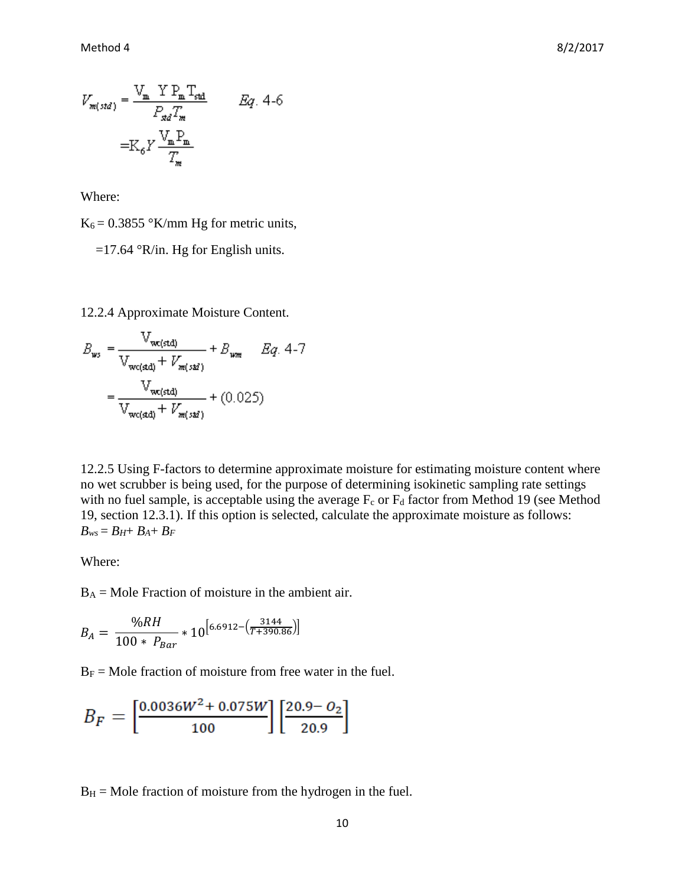$$
V_{m(sid)} = \frac{V_m Y P_m T_{sd}}{P_{sd} T_m}
$$
 Eq. 4-6  
=K<sub>6</sub>Y  $\frac{V_m P_m}{T_m}$ 

Where:

 $K_6 = 0.3855$  °K/mm Hg for metric units,

 $=17.64$  °R/in. Hg for English units.

12.2.4 Approximate Moisture Content.

$$
B_{ws} = \frac{\nabla_{wc(std)}}{\nabla_{wc(std)}} + V_{m(std)}} + B_{wm} \qquad Eq. 4-7
$$

$$
= \frac{\nabla_{wc(std)}}{\nabla_{wc(std)}} + V_{m(std)}} + (0.025)
$$

12.2.5 Using F-factors to determine approximate moisture for estimating moisture content where no wet scrubber is being used, for the purpose of determining isokinetic sampling rate settings with no fuel sample, is acceptable using the average  $F_c$  or  $F_d$  factor from Method 19 (see Method 19, section 12.3.1). If this option is selected, calculate the approximate moisture as follows:  $B_{ws} = B_H + B_A + B_F$ 

Where:

 $B_A$  = Mole Fraction of moisture in the ambient air.

$$
B_A = \frac{\%RH}{100 * P_{Bar}} * 10^{\left[6.6912 - \left(\frac{3144}{T + 390.86}\right)\right]}
$$

 $B_F =$  Mole fraction of moisture from free water in the fuel.

$$
B_F = \left[\frac{0.0036W^2 + 0.075W}{100}\right] \left[\frac{20.9 - 0_2}{20.9}\right]
$$

 $B_H$  = Mole fraction of moisture from the hydrogen in the fuel.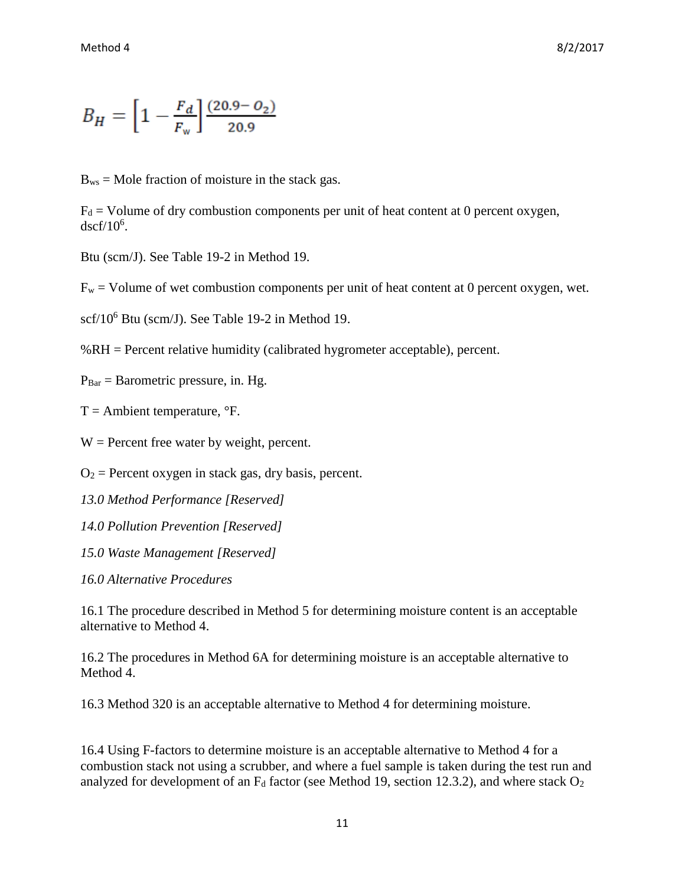$$
B_H = \left[1 - \frac{F_d}{F_w}\right] \frac{(20.9 - O_2)}{20.9}
$$

 $B_{ws}$  = Mole fraction of moisture in the stack gas.

 $F_d$  = Volume of dry combustion components per unit of heat content at 0 percent oxygen,  $dscf/10^6$ .

Btu (scm/J). See Table 19-2 in Method 19.

 $F_w$  = Volume of wet combustion components per unit of heat content at 0 percent oxygen, wet.

scf/10<sup>6</sup> Btu (scm/J). See Table 19-2 in Method 19.

%RH = Percent relative humidity (calibrated hygrometer acceptable), percent.

 $P_{Bar} = Baronetric pressure, in. Hg.$ 

 $T =$  Ambient temperature,  ${}^{\circ}$ F.

 $W =$  Percent free water by weight, percent.

 $O_2$  = Percent oxygen in stack gas, dry basis, percent.

*13.0 Method Performance [Reserved]* 

*14.0 Pollution Prevention [Reserved]* 

*15.0 Waste Management [Reserved]* 

*16.0 Alternative Procedures*

16.1 The procedure described in Method 5 for determining moisture content is an acceptable alternative to Method 4.

16.2 The procedures in Method 6A for determining moisture is an acceptable alternative to Method 4.

16.3 Method 320 is an acceptable alternative to Method 4 for determining moisture.

16.4 Using F-factors to determine moisture is an acceptable alternative to Method 4 for a combustion stack not using a scrubber, and where a fuel sample is taken during the test run and analyzed for development of an  $F_d$  factor (see Method 19, section 12.3.2), and where stack  $O_2$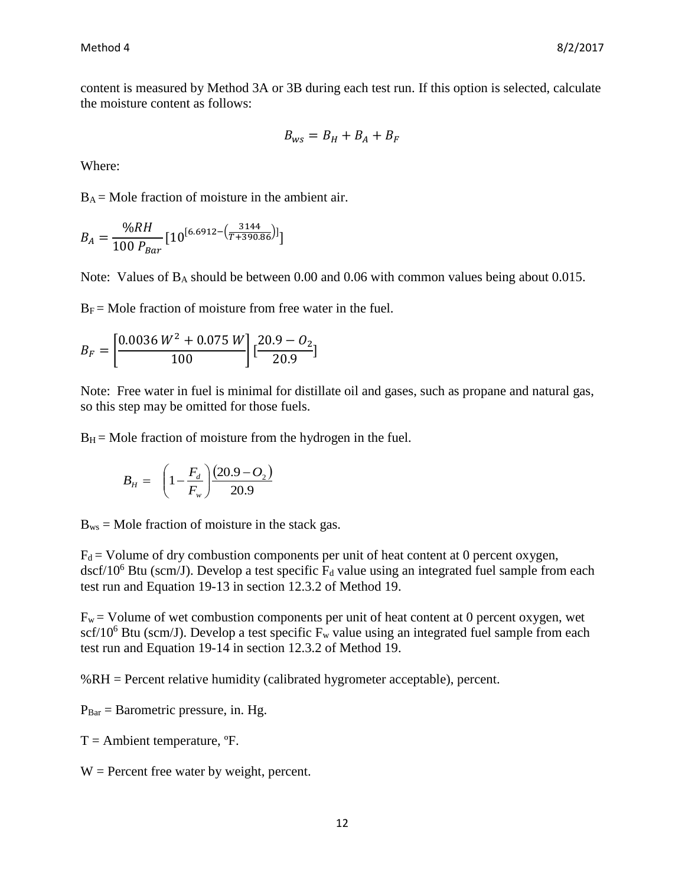content is measured by Method 3A or 3B during each test run. If this option is selected, calculate the moisture content as follows:

$$
B_{\scriptscriptstyle WS} = B_H + B_A + B_F
$$

Where:

 $B_A$  = Mole fraction of moisture in the ambient air.

$$
B_A = \frac{\%RH}{100 P_{Bar}} [10^{[6.6912 - (\frac{3144}{T+390.86})]}]
$$

Note: Values of B<sup>A</sup> should be between 0.00 and 0.06 with common values being about 0.015.

 $B_F$  = Mole fraction of moisture from free water in the fuel.

$$
B_F = \left[\frac{0.0036 W^2 + 0.075 W}{100}\right] \left[\frac{20.9 - 0_2}{20.9}\right]
$$

Note: Free water in fuel is minimal for distillate oil and gases, such as propane and natural gas, so this step may be omitted for those fuels.

 $B_H$  = Mole fraction of moisture from the hydrogen in the fuel.

$$
B_H = \left(1 - \frac{F_d}{F_w}\right) \frac{(20.9 - O_2)}{20.9}
$$

 $B_{ws}$  = Mole fraction of moisture in the stack gas.

 $F_d$  = Volume of dry combustion components per unit of heat content at 0 percent oxygen,  $dscf/10^6$  Btu (scm/J). Develop a test specific  $F_d$  value using an integrated fuel sample from each test run and Equation 19-13 in section 12.3.2 of Method 19.

 $F_w$  = Volume of wet combustion components per unit of heat content at 0 percent oxygen, wet scf/10<sup>6</sup> Btu (scm/J). Develop a test specific  $F_w$  value using an integrated fuel sample from each test run and Equation 19-14 in section 12.3.2 of Method 19.

%RH = Percent relative humidity (calibrated hygrometer acceptable), percent.

 $P_{Bar} = Baronetric pressure, in. Hg.$ 

 $T =$  Ambient temperature,  ${}^{\circ}F$ .

 $W =$  Percent free water by weight, percent.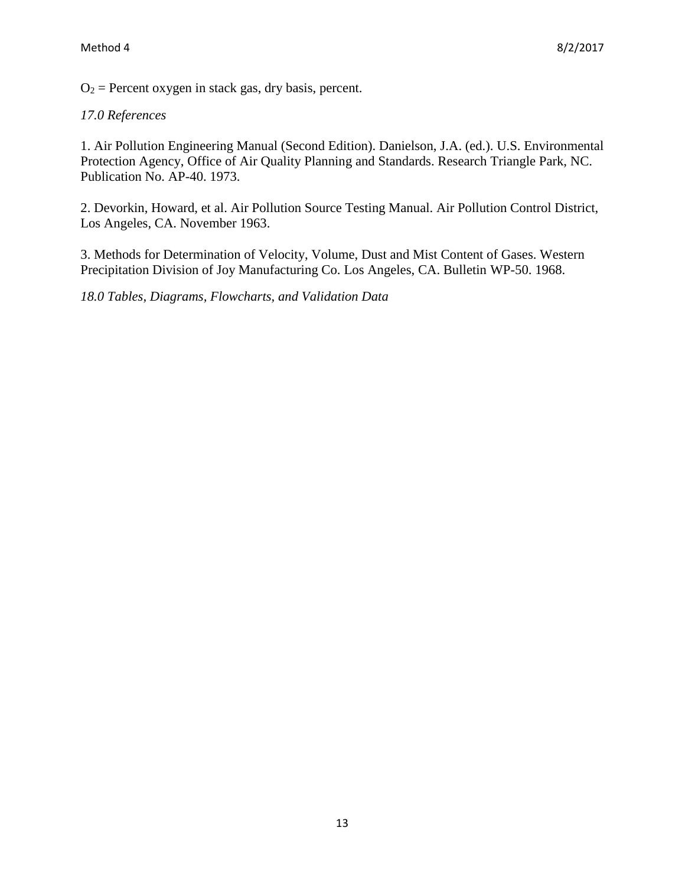$O_2$  = Percent oxygen in stack gas, dry basis, percent.

### *17.0 References*

1. Air Pollution Engineering Manual (Second Edition). Danielson, J.A. (ed.). U.S. Environmental Protection Agency, Office of Air Quality Planning and Standards. Research Triangle Park, NC. Publication No. AP-40. 1973.

2. Devorkin, Howard, et al. Air Pollution Source Testing Manual. Air Pollution Control District, Los Angeles, CA. November 1963.

3. Methods for Determination of Velocity, Volume, Dust and Mist Content of Gases. Western Precipitation Division of Joy Manufacturing Co. Los Angeles, CA. Bulletin WP-50. 1968.

*18.0 Tables, Diagrams, Flowcharts, and Validation Data*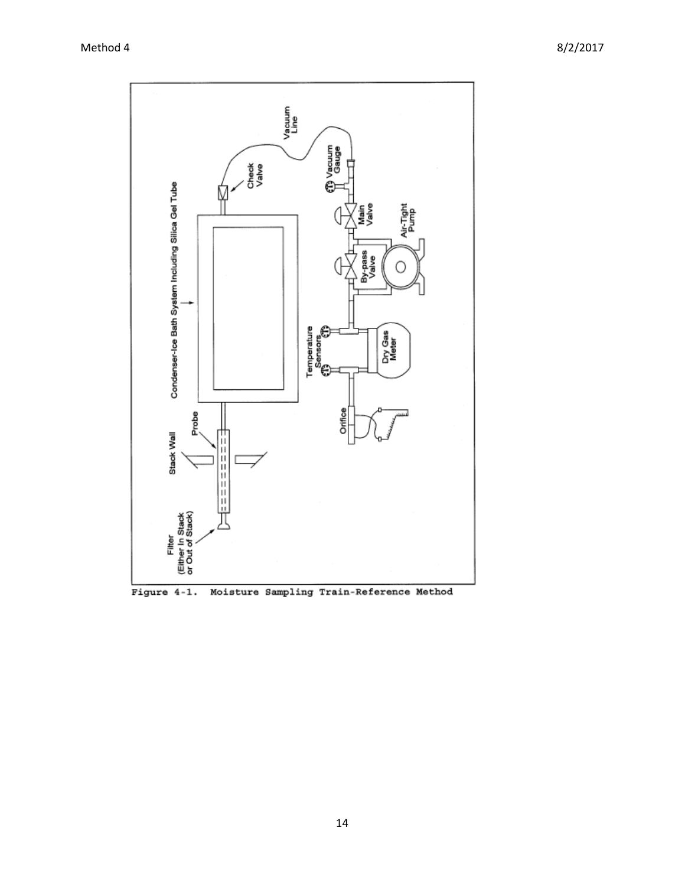

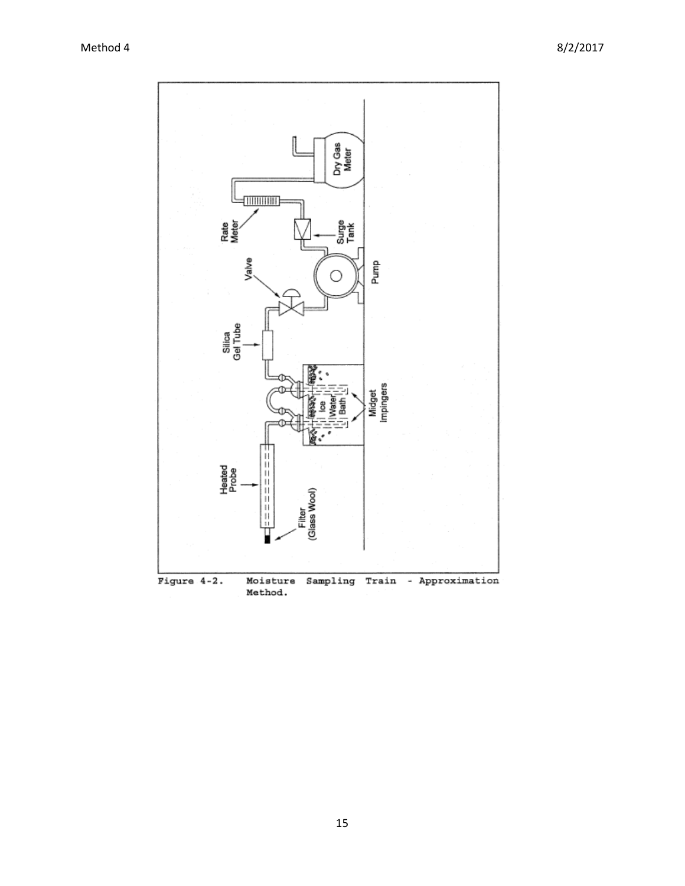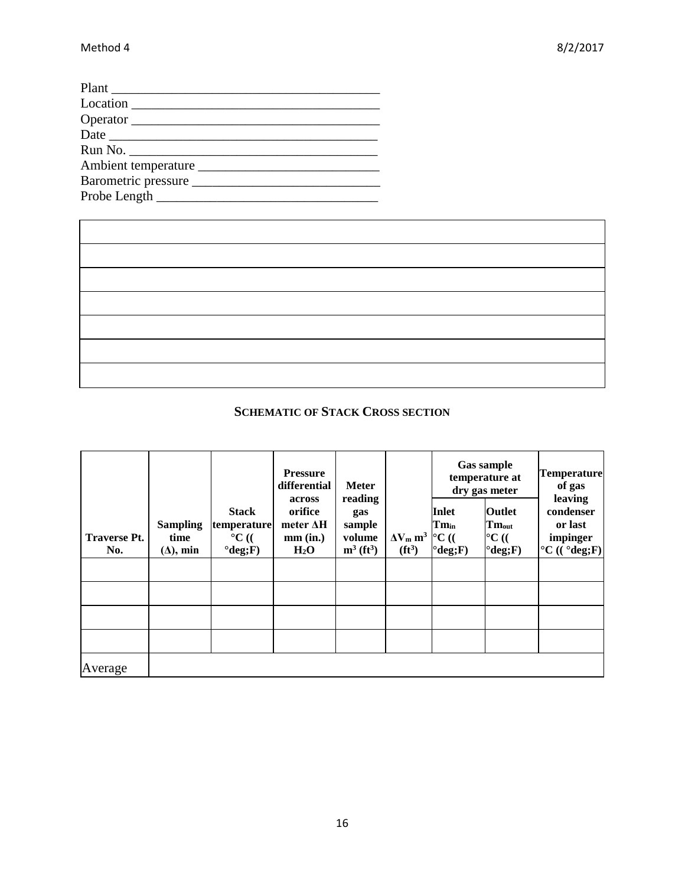| Barometric pressure |  |
|---------------------|--|
|                     |  |

# **SCHEMATIC OF STACK CROSS SECTION**

|                     |                  |                    | <b>Pressure</b><br>differential | <b>Meter</b>             |                  |                    | <b>Gas sample</b><br>temperature at<br>dry gas meter | <b>Temperature</b><br>of gas     |
|---------------------|------------------|--------------------|---------------------------------|--------------------------|------------------|--------------------|------------------------------------------------------|----------------------------------|
|                     |                  | <b>Stack</b>       | across<br>orifice               | reading<br>gas           |                  | Inlet              | <b>Outlet</b>                                        | leaving<br>condenser             |
|                     | <b>Sampling</b>  | temperature        | meter $\Delta H$                | sample                   |                  | $Tm_{in}$          | $Tm_{out}$                                           | or last                          |
| <b>Traverse Pt.</b> | time             | $\rm ^{\circ}C$ (( | mm (in.)                        | volume                   | $\Delta V_m m^3$ | $\rm ^{\circ}C$ (( | $\rm ^{\circ}C$ ((                                   | impinger                         |
| No.                 | $(\Delta)$ , min | $^{°}deg; F)$      | $H_2O$                          | $m^3$ (ft <sup>3</sup> ) | $(f t^3)$        | $^{\circ}$ deg;F)  | $^{\circ}$ deg;F)                                    | $^{\circ}C$ (( $^{\circ}deg$ ;F) |
|                     |                  |                    |                                 |                          |                  |                    |                                                      |                                  |
|                     |                  |                    |                                 |                          |                  |                    |                                                      |                                  |
|                     |                  |                    |                                 |                          |                  |                    |                                                      |                                  |
|                     |                  |                    |                                 |                          |                  |                    |                                                      |                                  |
| Average             |                  |                    |                                 |                          |                  |                    |                                                      |                                  |